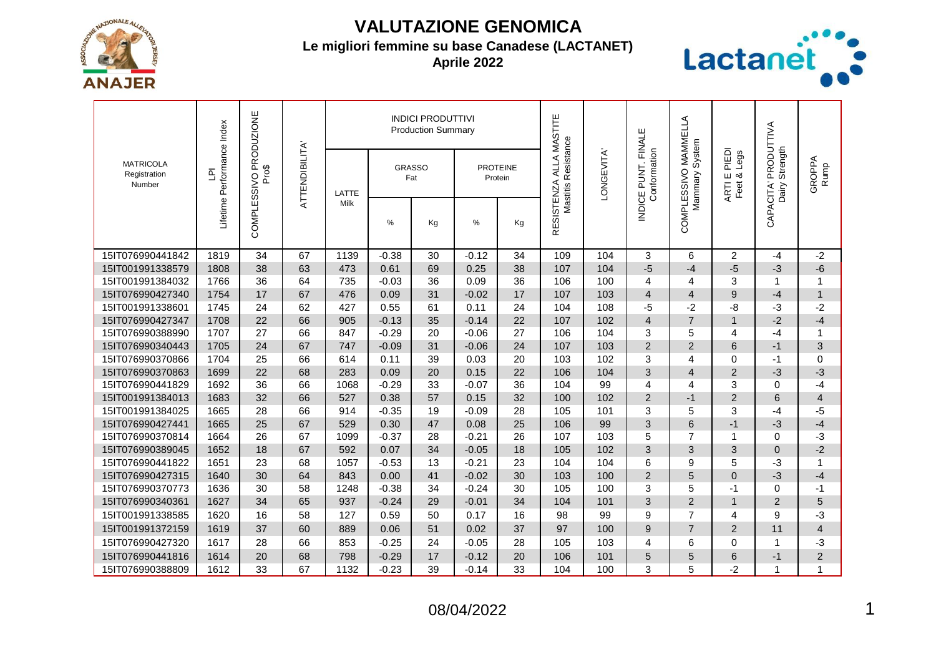

## **VALUTAZIONE GENOMICA**

## **Le migliori femmine su base Canadese (LACTANET)**

**Aprile 2022**



| <b>MATRICOLA</b><br>Registration<br>Number | Lifetime Performance Index<br>$\overline{\Xi}$ | COMPLESSIVO PRODUZIONE<br>Pro\$ | <b>ATTENDIBILITA</b> |                      |                      | <b>INDICI PRODUTTIVI</b><br><b>Production Summary</b> |                            |    | ALLA MASTITE        |           |                                    | MAMMELLA          |                                       |                                 |                |
|--------------------------------------------|------------------------------------------------|---------------------------------|----------------------|----------------------|----------------------|-------------------------------------------------------|----------------------------|----|---------------------|-----------|------------------------------------|-------------------|---------------------------------------|---------------------------------|----------------|
|                                            |                                                |                                 |                      | LATTE<br><b>Milk</b> | <b>GRASSO</b><br>Fat |                                                       | <b>PROTEINE</b><br>Protein |    | Mastitis Resistance | ONGEVITA' | NDICE PUNT. FINALE<br>Conformation | System<br>Mammary | PIEDI<br>Legs<br>⊞ ∞്<br>ARTI<br>Feet | PRODUTTIVA<br>Strength<br>Dairy | GROPPA<br>Rump |
|                                            |                                                |                                 |                      |                      | %                    | Kg                                                    | %                          | Kg | RESISTENZA          |           |                                    | COMPLESSIVO       |                                       | CAPACITA'                       |                |
| 15IT076990441842                           | 1819                                           | 34                              | 67                   | 1139                 | $-0.38$              | 30                                                    | $-0.12$                    | 34 | 109                 | 104       | 3                                  | 6                 | $\overline{2}$                        | $-4$                            | $-2$           |
| 15IT001991338579                           | 1808                                           | 38                              | 63                   | 473                  | 0.61                 | 69                                                    | 0.25                       | 38 | 107                 | 104       | $-5$                               | $-4$              | $-5$                                  | -3                              | $-6$           |
| 15IT001991384032                           | 1766                                           | 36                              | 64                   | 735                  | $-0.03$              | 36                                                    | 0.09                       | 36 | 106                 | 100       | 4                                  | 4                 | 3                                     | 1                               | $\mathbf{1}$   |
| 15IT076990427340                           | 1754                                           | 17                              | 67                   | 476                  | 0.09                 | 31                                                    | $-0.02$                    | 17 | 107                 | 103       | $\overline{4}$                     | $\overline{4}$    | 9                                     | $-4$                            | $\mathbf{1}$   |
| 15IT001991338601                           | 1745                                           | 24                              | 62                   | 427                  | 0.55                 | 61                                                    | 0.11                       | 24 | 104                 | 108       | $-5$                               | $-2$              | -8                                    | -3                              | $-2$           |
| 15IT076990427347                           | 1708                                           | 22                              | 66                   | 905                  | $-0.13$              | 35                                                    | $-0.14$                    | 22 | 107                 | 102       | $\overline{4}$                     | $\overline{7}$    | $\overline{1}$                        | $-2$                            | $-4$           |
| 15IT076990388990                           | 1707                                           | 27                              | 66                   | 847                  | $-0.29$              | 20                                                    | $-0.06$                    | 27 | 106                 | 104       | 3                                  | 5                 | 4                                     | $-4$                            | 1              |
| 15IT076990340443                           | 1705                                           | 24                              | 67                   | 747                  | $-0.09$              | 31                                                    | $-0.06$                    | 24 | 107                 | 103       | $\overline{2}$                     | $\overline{2}$    | 6                                     | $-1$                            | 3              |
| 15IT076990370866                           | 1704                                           | 25                              | 66                   | 614                  | 0.11                 | 39                                                    | 0.03                       | 20 | 103                 | 102       | 3                                  | 4                 | $\Omega$                              | $-1$                            | 0              |
| 15IT076990370863                           | 1699                                           | 22                              | 68                   | 283                  | 0.09                 | 20                                                    | 0.15                       | 22 | 106                 | 104       | 3                                  | $\overline{4}$    | $\overline{2}$                        | $-3$                            | $-3$           |
| 15IT076990441829                           | 1692                                           | 36                              | 66                   | 1068                 | $-0.29$              | 33                                                    | $-0.07$                    | 36 | 104                 | 99        | 4                                  | 4                 | 3                                     | 0                               | $-4$           |
| 15IT001991384013                           | 1683                                           | 32                              | 66                   | 527                  | 0.38                 | 57                                                    | 0.15                       | 32 | 100                 | 102       | 2                                  | $-1$              | $\overline{2}$                        | 6                               | $\overline{4}$ |
| 15IT001991384025                           | 1665                                           | 28                              | 66                   | 914                  | $-0.35$              | 19                                                    | $-0.09$                    | 28 | 105                 | 101       | 3                                  | 5                 | 3                                     | $-4$                            | -5             |
| 15IT076990427441                           | 1665                                           | 25                              | 67                   | 529                  | 0.30                 | 47                                                    | 0.08                       | 25 | 106                 | 99        | 3                                  | 6                 | $-1$                                  | $-3$                            | $-4$           |
| 15IT076990370814                           | 1664                                           | 26                              | 67                   | 1099                 | $-0.37$              | 28                                                    | $-0.21$                    | 26 | 107                 | 103       | 5                                  | $\overline{7}$    | 1                                     | 0                               | -3             |
| 15IT076990389045                           | 1652                                           | 18                              | 67                   | 592                  | 0.07                 | 34                                                    | $-0.05$                    | 18 | 105                 | 102       | 3                                  | 3                 | 3                                     | $\Omega$                        | $-2$           |
| 15IT076990441822                           | 1651                                           | 23                              | 68                   | 1057                 | $-0.53$              | 13                                                    | $-0.21$                    | 23 | 104                 | 104       | 6                                  | 9                 | 5                                     | $-3$                            | 1              |
| 15IT076990427315                           | 1640                                           | 30                              | 64                   | 843                  | 0.00                 | 41                                                    | $-0.02$                    | 30 | 103                 | 100       | $\overline{2}$                     | 5                 | $\Omega$                              | $-3$                            | $-4$           |
| 15IT076990370773                           | 1636                                           | 30                              | 58                   | 1248                 | $-0.38$              | 34                                                    | $-0.24$                    | 30 | 105                 | 100       | 3                                  | 5                 | -1                                    | 0                               | $-1$           |
| 15IT076990340361                           | 1627                                           | 34                              | 65                   | 937                  | $-0.24$              | 29                                                    | $-0.01$                    | 34 | 104                 | 101       | 3                                  | $\overline{2}$    | $\mathbf 1$                           | $\overline{2}$                  | 5              |
| 15IT001991338585                           | 1620                                           | 16                              | 58                   | 127                  | 0.59                 | 50                                                    | 0.17                       | 16 | 98                  | 99        | 9                                  | $\overline{7}$    | 4                                     | 9                               | -3             |
| 15IT001991372159                           | 1619                                           | 37                              | 60                   | 889                  | 0.06                 | 51                                                    | 0.02                       | 37 | 97                  | 100       | 9                                  | $\overline{7}$    | $\overline{2}$                        | 11                              | $\overline{4}$ |
| 15IT076990427320                           | 1617                                           | 28                              | 66                   | 853                  | $-0.25$              | 24                                                    | $-0.05$                    | 28 | 105                 | 103       | 4                                  | 6                 | $\Omega$                              | 1                               | -3             |
| 15IT076990441816                           | 1614                                           | 20                              | 68                   | 798                  | $-0.29$              | 17                                                    | $-0.12$                    | 20 | 106                 | 101       | 5                                  | 5                 | 6                                     | $-1$                            | $\overline{c}$ |
| 15IT076990388809                           | 1612                                           | 33                              | 67                   | 1132                 | $-0.23$              | 39                                                    | $-0.14$                    | 33 | 104                 | 100       | 3                                  | 5                 | $-2$                                  | 1                               | 1              |